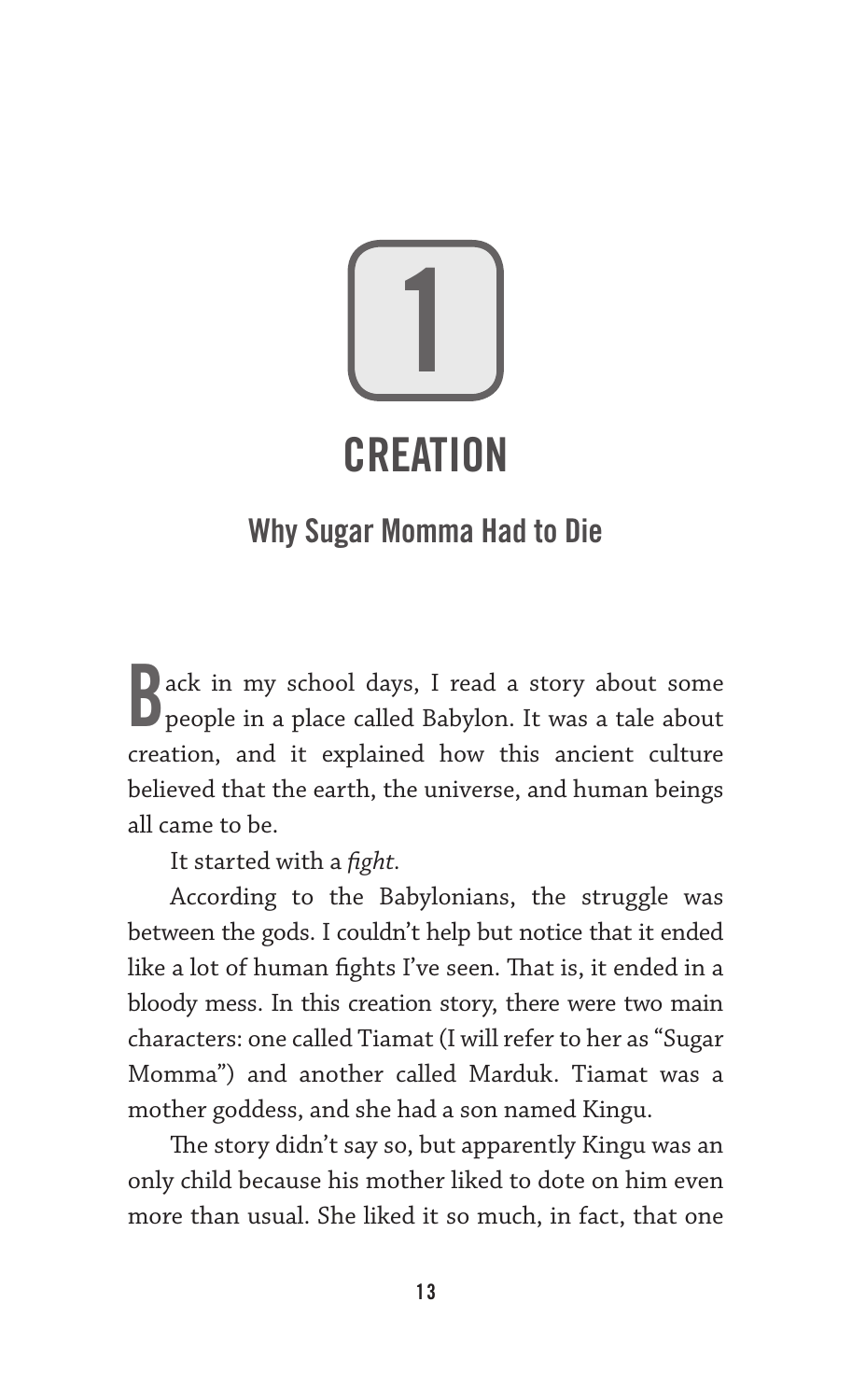1

## Why Sugar Momma Had to Die

Dack in my school days, I read a story about some people in a place called Babylon. It was a tale about creation, and it explained how this ancient culture believed that the earth, the universe, and human beings all came to be.

It started with a *fght.* 

According to the Babylonians, the struggle was between the gods. I couldn't help but notice that it ended like a lot of human fights I've seen. That is, it ended in a bloody mess. In this creation story, there were two main characters: one called Tiamat (I will refer to her as "Sugar Momma") and another called Marduk. Tiamat was a mother goddess, and she had a son named Kingu.

The story didn't say so, but apparently Kingu was an only child because his mother liked to dote on him even more than usual. She liked it so much, in fact, that one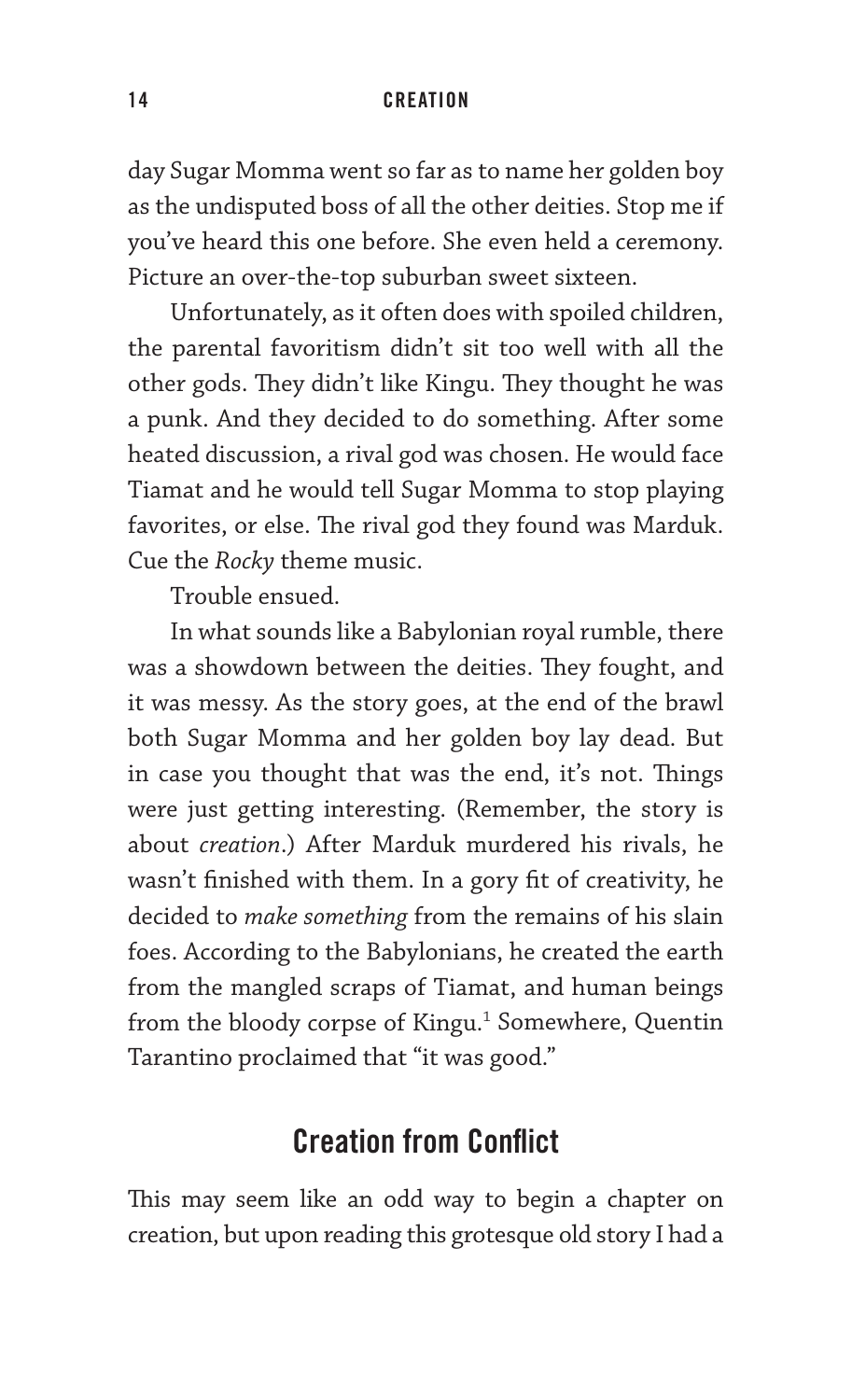day Sugar Momma went so far as to name her golden boy as the undisputed boss of all the other deities. Stop me if you've heard this one before. She even held a ceremony. Picture an over-the-top suburban sweet sixteen.

Unfortunately, as it often does with spoiled children, the parental favoritism didn't sit too well with all the other gods. They didn't like Kingu. They thought he was a punk. And they decided to do something. After some heated discussion, a rival god was chosen. He would face Tiamat and he would tell Sugar Momma to stop playing favorites, or else. The rival god they found was Marduk. Cue the *Rocky* theme music.

Trouble ensued.

In what sounds like a Babylonian royal rumble, there was a showdown between the deities. They fought, and it was messy. As the story goes, at the end of the brawl both Sugar Momma and her golden boy lay dead. But in case you thought that was the end, it's not. Things were just getting interesting. (Remember, the story is about *creation*.) After Marduk murdered his rivals, he wasn't fnished with them. In a gory ft of creativity, he decided to *make something* from the remains of his slain foes. According to the Babylonians, he created the earth from the mangled scraps of Tiamat, and human beings from the bloody corpse of Kingu.<sup>1</sup> Somewhere, Quentin Tarantino proclaimed that "it was good."

### Creation from Conflict

This may seem like an odd way to begin a chapter on creation, but upon reading this grotesque old story I had a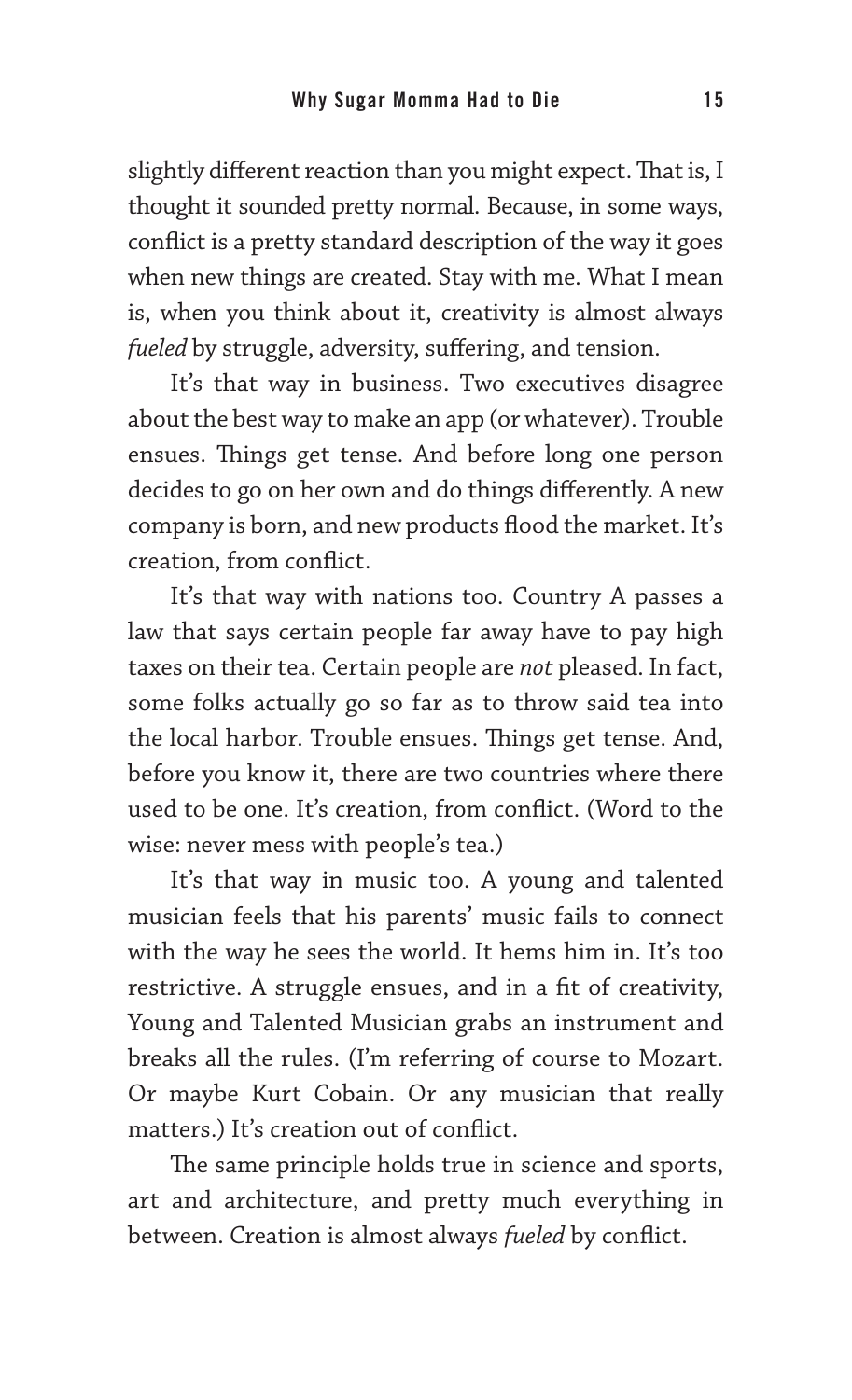slightly different reaction than you might expect. That is, I thought it sounded pretty normal. Because, in some ways, confict is a pretty standard description of the way it goes when new things are created. Stay with me. What I mean is, when you think about it, creativity is almost always *fueled* by struggle, adversity, sufering, and tension.

It's that way in business. Two executives disagree about the best way to make an app (or whatever). Trouble ensues. Things get tense. And before long one person decides to go on her own and do things diferently. A new company is born, and new products food the market. It's creation, from confict.

It's that way with nations too. Country A passes a law that says certain people far away have to pay high taxes on their tea. Certain people are *not* pleased. In fact, some folks actually go so far as to throw said tea into the local harbor. Trouble ensues. Things get tense. And, before you know it, there are two countries where there used to be one. It's creation, from confict. (Word to the wise: never mess with people's tea.)

It's that way in music too. A young and talented musician feels that his parents' music fails to connect with the way he sees the world. It hems him in. It's too restrictive. A struggle ensues, and in a ft of creativity, Young and Talented Musician grabs an instrument and breaks all the rules. (I'm referring of course to Mozart. Or maybe Kurt Cobain. Or any musician that really matters.) It's creation out of confict.

The same principle holds true in science and sports, art and architecture, and pretty much everything in between. Creation is almost always *fueled* by confict.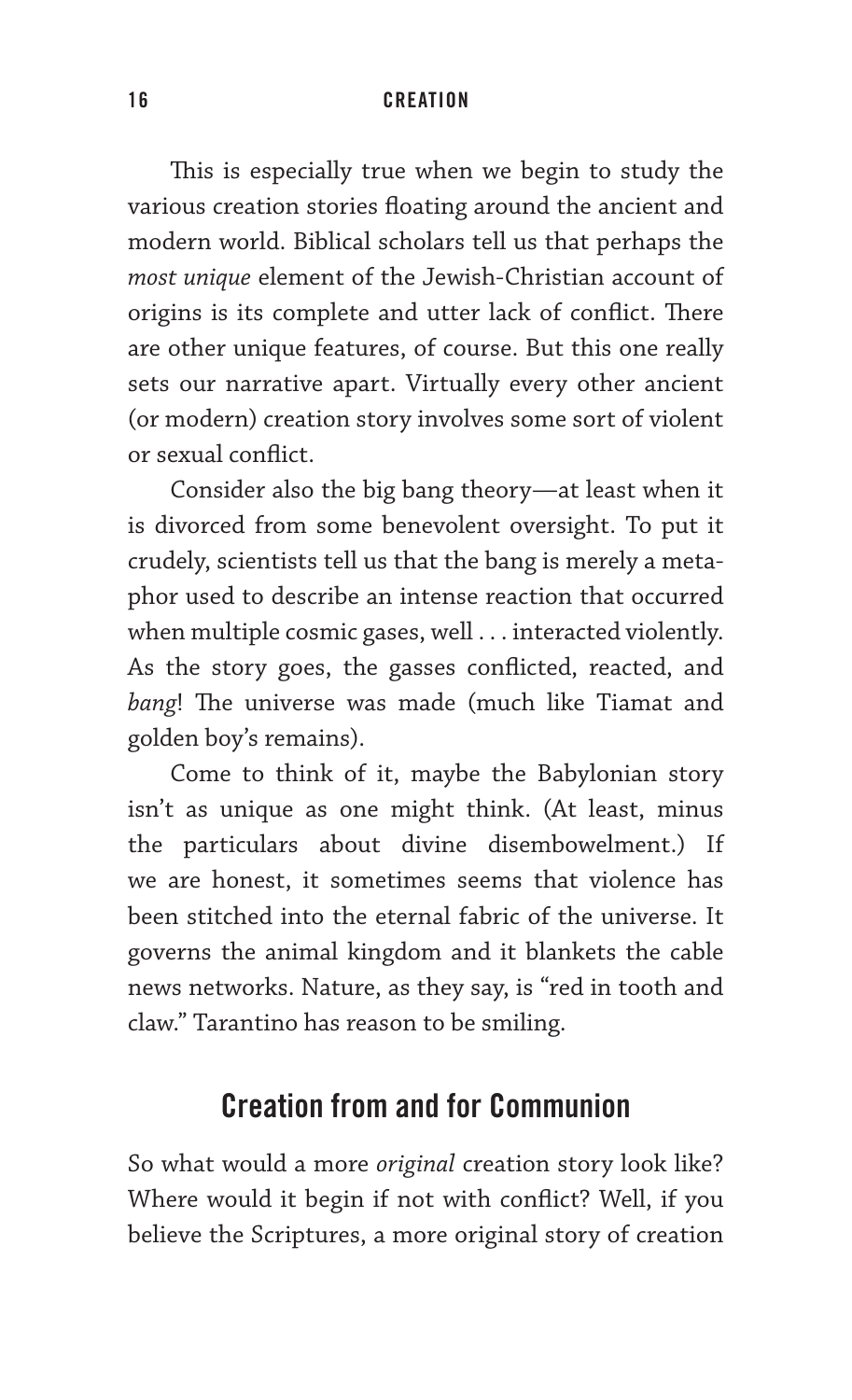This is especially true when we begin to study the various creation stories foating around the ancient and modern world. Biblical scholars tell us that perhaps the *most unique* element of the Jewish-Christian account of origins is its complete and utter lack of conflict. There are other unique features, of course. But this one really sets our narrative apart. Virtually every other ancient (or modern) creation story involves some sort of violent or sexual confict.

Consider also the big bang theory—at least when it is divorced from some benevolent oversight. To put it crudely, scientists tell us that the bang is merely a metaphor used to describe an intense reaction that occurred when multiple cosmic gases, well . . . interacted violently. As the story goes, the gasses conficted, reacted, and bang! The universe was made (much like Tiamat and golden boy's remains).

Come to think of it, maybe the Babylonian story isn't as unique as one might think. (At least, minus the particulars about divine disembowelment.) If we are honest, it sometimes seems that violence has been stitched into the eternal fabric of the universe. It governs the animal kingdom and it blankets the cable news networks. Nature, as they say, is "red in tooth and claw." Tarantino has reason to be smiling.

### Creation from and for Communion

So what would a more *original* creation story look like? Where would it begin if not with confict? Well, if you believe the Scriptures, a more original story of creation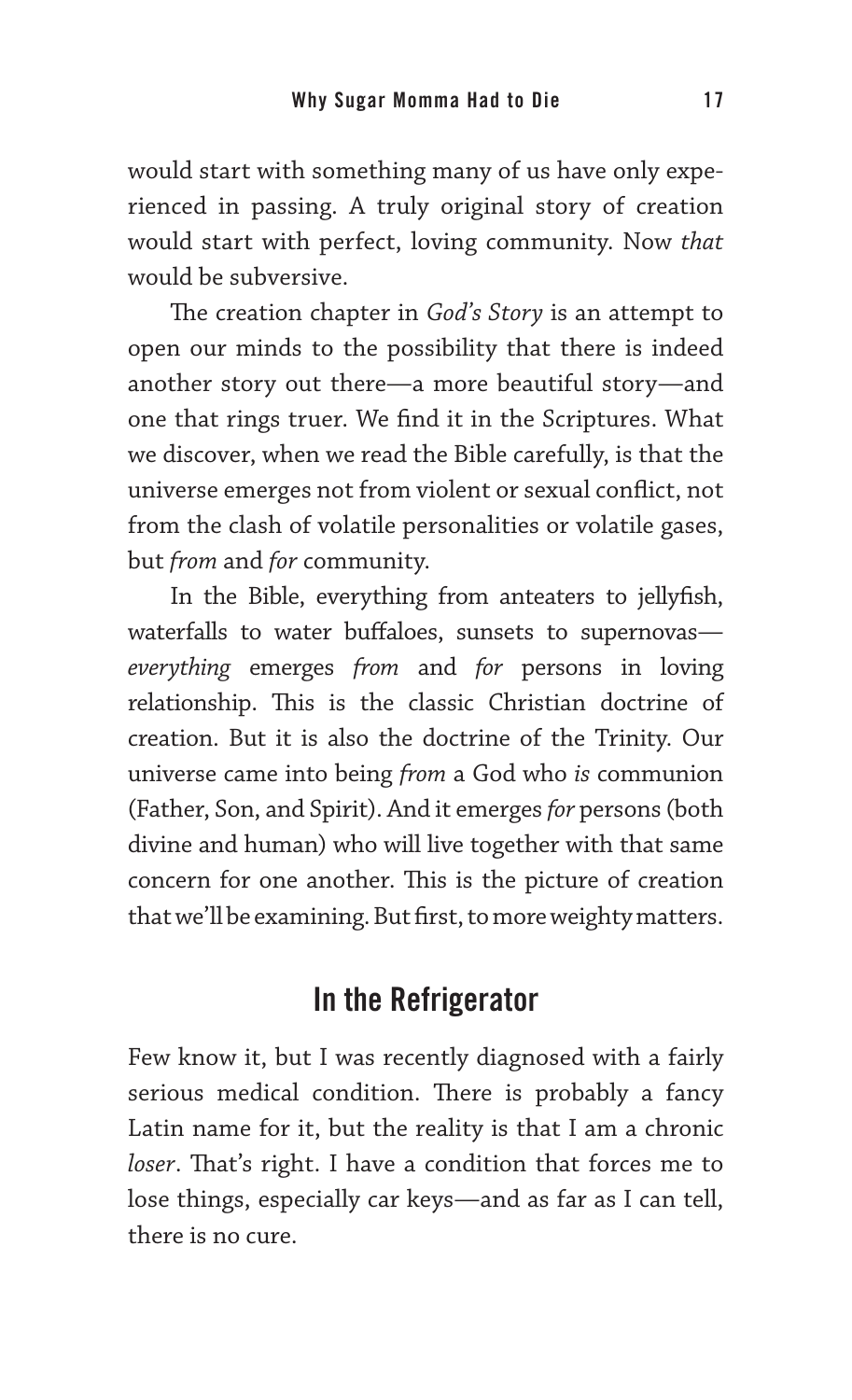would start with something many of us have only experienced in passing. A truly original story of creation would start with perfect, loving community. Now *that* would be subversive.

The creation chapter in *God's Story* is an attempt to open our minds to the possibility that there is indeed another story out there—a more beautiful story—and one that rings truer. We fnd it in the Scriptures. What we discover, when we read the Bible carefully, is that the universe emerges not from violent or sexual confict, not from the clash of volatile personalities or volatile gases, but *from* and *for* community.

In the Bible, everything from anteaters to jellyfsh, waterfalls to water buffaloes, sunsets to supernovas*everything* emerges *from* and *for* persons in loving relationship. This is the classic Christian doctrine of creation. But it is also the doctrine of the Trinity. Our universe came into being *from* a God who *is* communion (Father, Son, and Spirit). And it emerges *for* persons (both divine and human) who will live together with that same concern for one another. This is the picture of creation that we'll be examining. But frst, to more weighty matters.

### In the Refrigerator

Few know it, but I was recently diagnosed with a fairly serious medical condition. There is probably a fancy Latin name for it, but the reality is that I am a chronic loser. That's right. I have a condition that forces me to lose things, especially car keys—and as far as I can tell, there is no cure.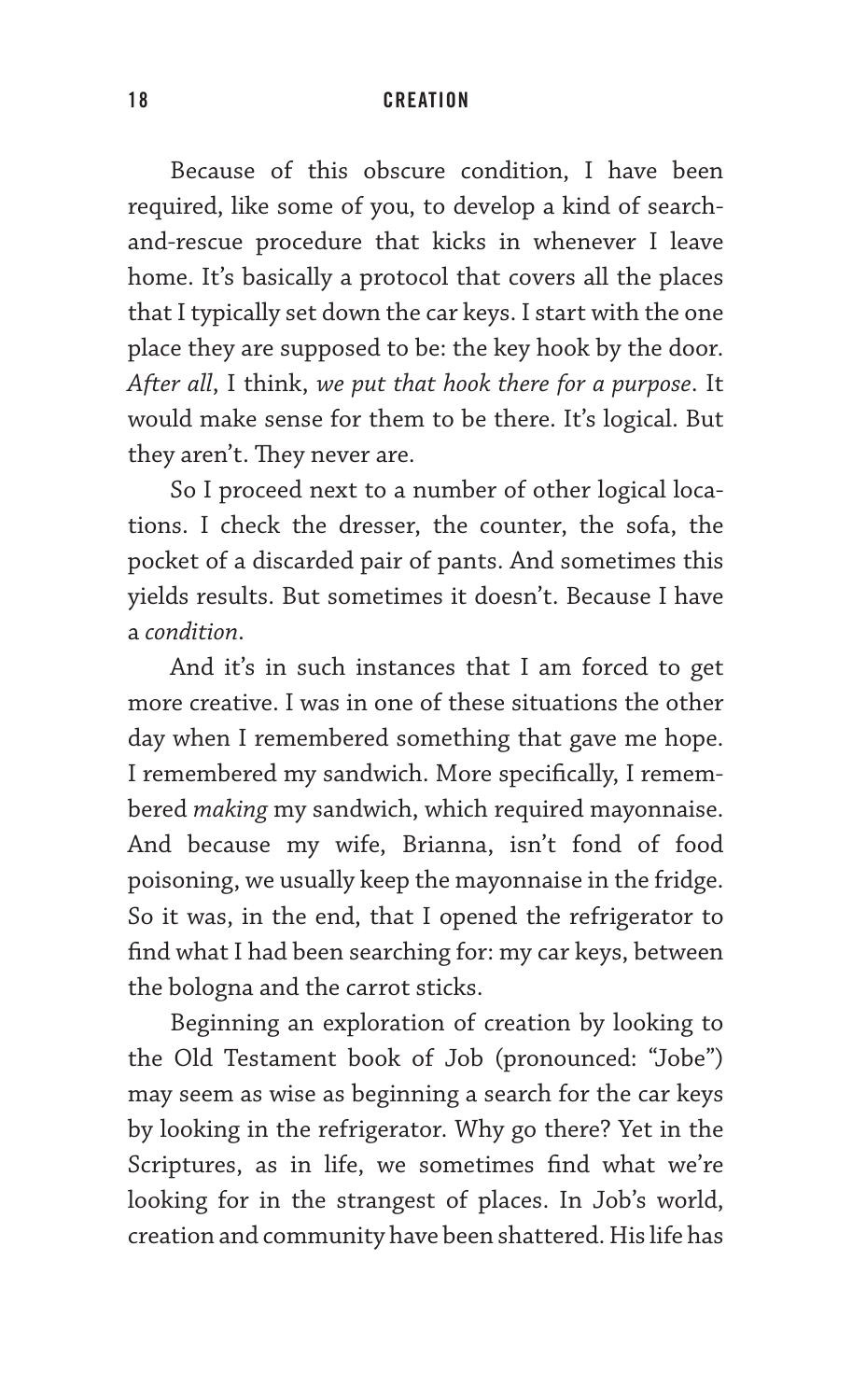Because of this obscure condition, I have been required, like some of you, to develop a kind of searchand-rescue procedure that kicks in whenever I leave home. It's basically a protocol that covers all the places that I typically set down the car keys. I start with the one place they are supposed to be: the key hook by the door. *After all*, I think, *we put that hook there for a purpose*. It would make sense for them to be there. It's logical. But they aren't. They never are.

So I proceed next to a number of other logical locations. I check the dresser, the counter, the sofa, the pocket of a discarded pair of pants. And sometimes this yields results. But sometimes it doesn't. Because I have a *condition*.

And it's in such instances that I am forced to get more creative. I was in one of these situations the other day when I remembered something that gave me hope. I remembered my sandwich. More specifcally, I remembered *making* my sandwich, which required mayonnaise. And because my wife, Brianna, isn't fond of food poisoning, we usually keep the mayonnaise in the fridge. So it was, in the end, that I opened the refrigerator to fnd what I had been searching for: my car keys, between the bologna and the carrot sticks.

Beginning an exploration of creation by looking to the Old Testament book of Job (pronounced: "Jobe") may seem as wise as beginning a search for the car keys by looking in the refrigerator. Why go there? Yet in the Scriptures, as in life, we sometimes fnd what we're looking for in the strangest of places. In Job's world, creation and community have been shattered. His life has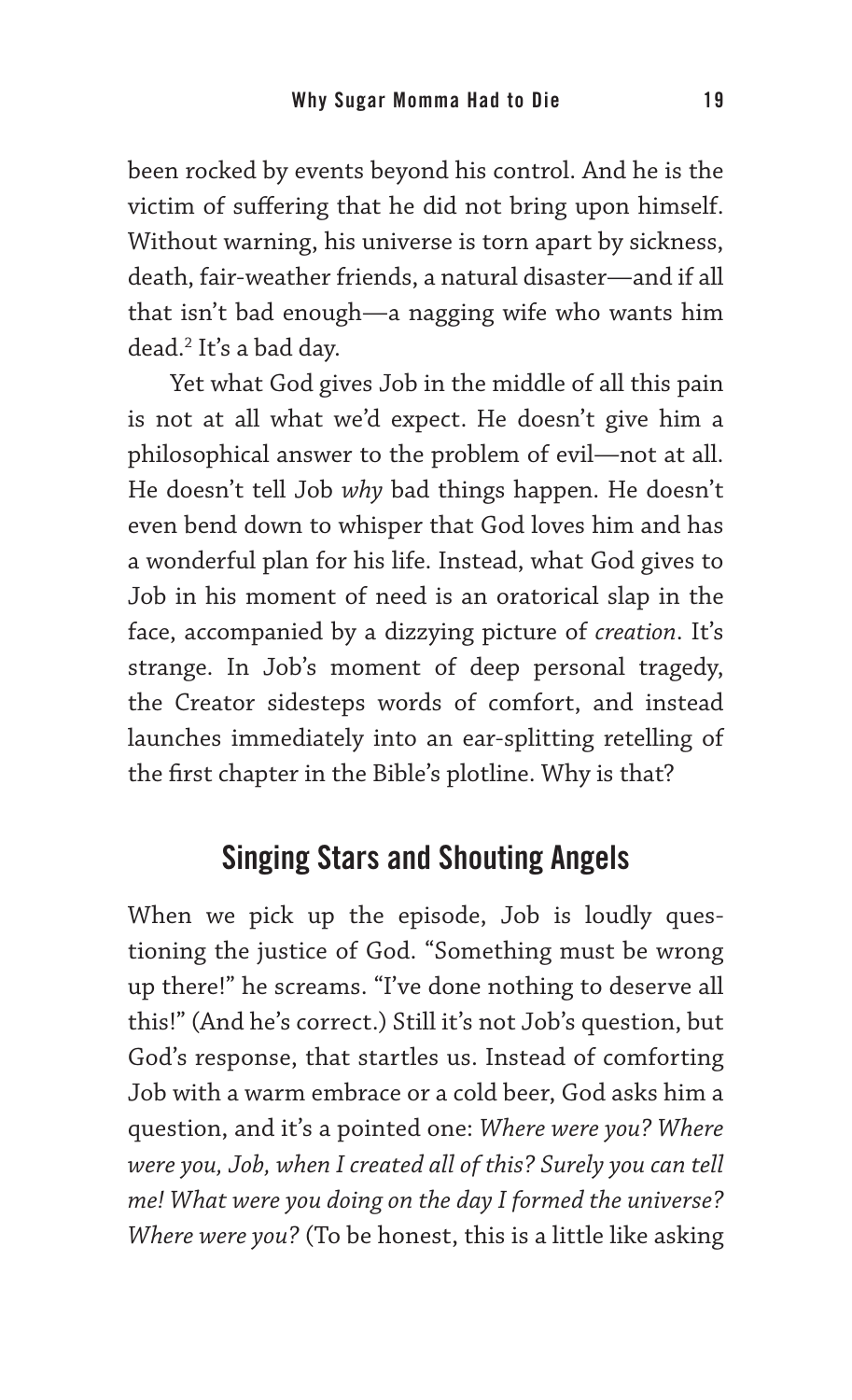been rocked by events beyond his control. And he is the victim of sufering that he did not bring upon himself. Without warning, his universe is torn apart by sickness, death, fair-weather friends, a natural disaster—and if all that isn't bad enough—a nagging wife who wants him dead.2 It's a bad day.

Yet what God gives Job in the middle of all this pain is not at all what we'd expect. He doesn't give him a philosophical answer to the problem of evil—not at all. He doesn't tell Job *why* bad things happen. He doesn't even bend down to whisper that God loves him and has a wonderful plan for his life. Instead, what God gives to Job in his moment of need is an oratorical slap in the face, accompanied by a dizzying picture of *creation*. It's strange. In Job's moment of deep personal tragedy, the Creator sidesteps words of comfort, and instead launches immediately into an ear-splitting retelling of the frst chapter in the Bible's plotline. Why is that?

### Singing Stars and Shouting Angels

When we pick up the episode, Job is loudly questioning the justice of God. "Something must be wrong up there!" he screams. "I've done nothing to deserve all this!" (And he's correct.) Still it's not Job's question, but God's response, that startles us. Instead of comforting Job with a warm embrace or a cold beer, God asks him a question, and it's a pointed one: *Where were you? Where were you, Job, when I created all of this? Surely you can tell me! What were you doing on the day I formed the universe? Where were you?* (To be honest, this is a little like asking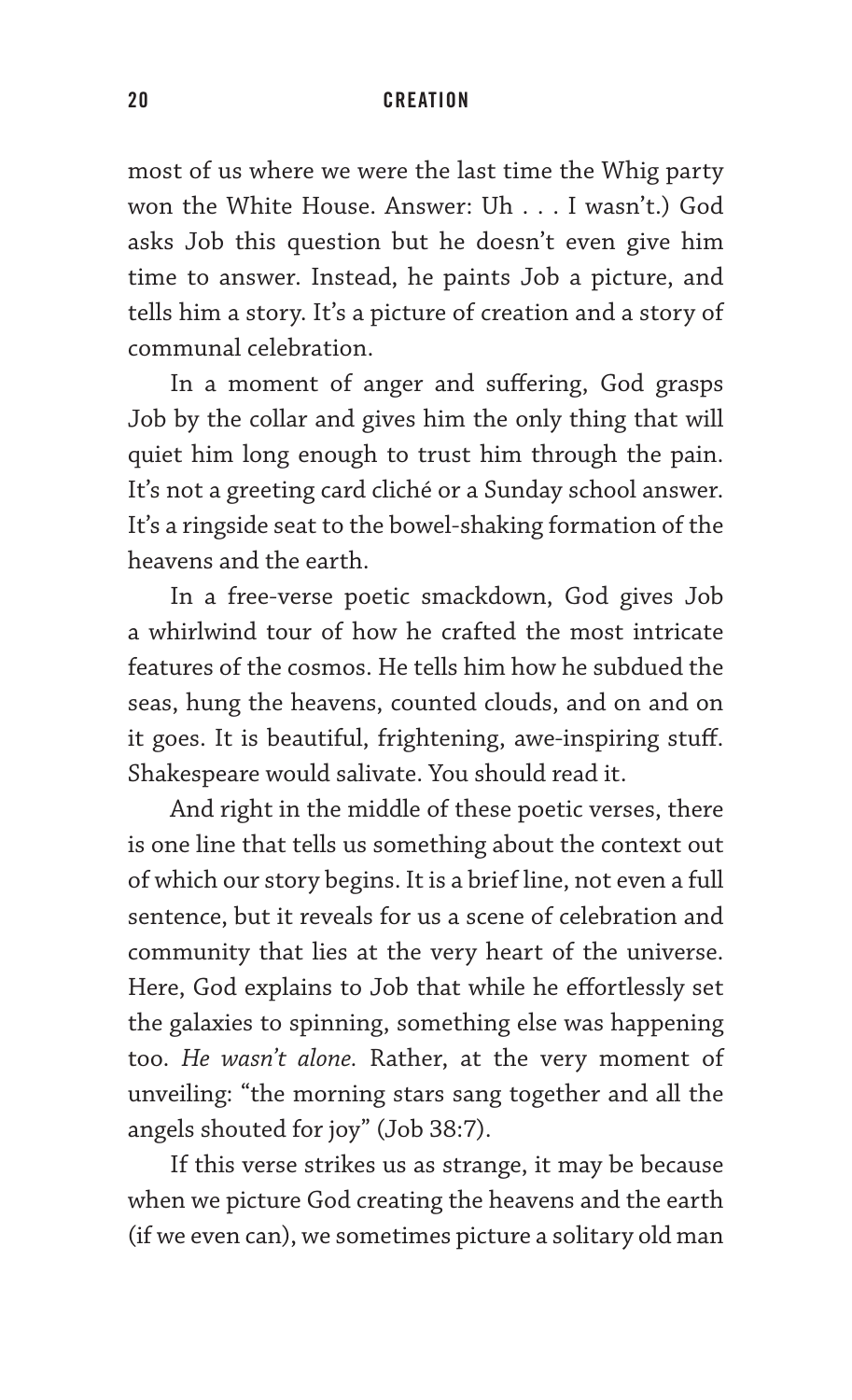most of us where we were the last time the Whig party won the White House. Answer: Uh . . . I wasn't.) God asks Job this question but he doesn't even give him time to answer. Instead, he paints Job a picture, and tells him a story. It's a picture of creation and a story of communal celebration.

In a moment of anger and sufering, God grasps Job by the collar and gives him the only thing that will quiet him long enough to trust him through the pain. It's not a greeting card cliché or a Sunday school answer. It's a ringside seat to the bowel-shaking formation of the heavens and the earth.

In a free-verse poetic smackdown, God gives Job a whirlwind tour of how he crafted the most intricate features of the cosmos. He tells him how he subdued the seas, hung the heavens, counted clouds, and on and on it goes. It is beautiful, frightening, awe-inspiring stuf. Shakespeare would salivate. You should read it.

And right in the middle of these poetic verses, there is one line that tells us something about the context out of which our story begins. It is a brief line, not even a full sentence, but it reveals for us a scene of celebration and community that lies at the very heart of the universe. Here, God explains to Job that while he effortlessly set the galaxies to spinning, something else was happening too. *He wasn't alone.* Rather, at the very moment of unveiling: "the morning stars sang together and all the angels shouted for joy" (Job 38:7).

If this verse strikes us as strange, it may be because when we picture God creating the heavens and the earth (if we even can), we sometimes picture a solitary old man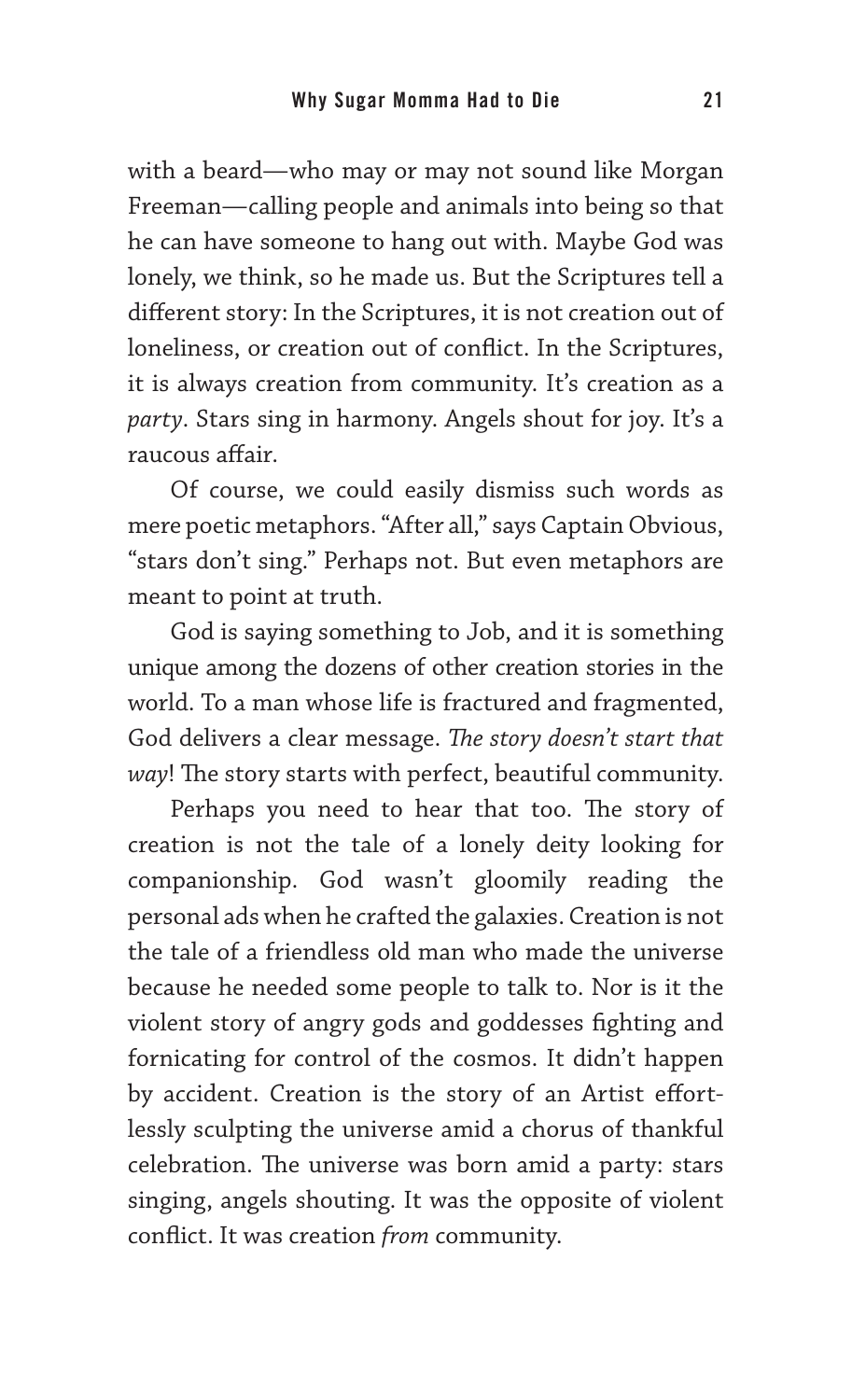with a beard—who may or may not sound like Morgan Freeman—calling people and animals into being so that he can have someone to hang out with. Maybe God was lonely, we think, so he made us. But the Scriptures tell a diferent story: In the Scriptures, it is not creation out of loneliness, or creation out of confict. In the Scriptures, it is always creation from community. It's creation as a *party*. Stars sing in harmony. Angels shout for joy. It's a raucous affair.

Of course, we could easily dismiss such words as mere poetic metaphors. "After all," says Captain Obvious, "stars don't sing." Perhaps not. But even metaphors are meant to point at truth.

God is saying something to Job, and it is something unique among the dozens of other creation stories in the world. To a man whose life is fractured and fragmented, God delivers a clear message. *Te story doesn't start that*  way! The story starts with perfect, beautiful community.

Perhaps you need to hear that too. The story of creation is not the tale of a lonely deity looking for companionship. God wasn't gloomily reading the personal ads when he crafted the galaxies. Creation is not the tale of a friendless old man who made the universe because he needed some people to talk to. Nor is it the violent story of angry gods and goddesses fghting and fornicating for control of the cosmos. It didn't happen by accident. Creation is the story of an Artist effortlessly sculpting the universe amid a chorus of thankful celebration. The universe was born amid a party: stars singing, angels shouting. It was the opposite of violent confict. It was creation *from* community.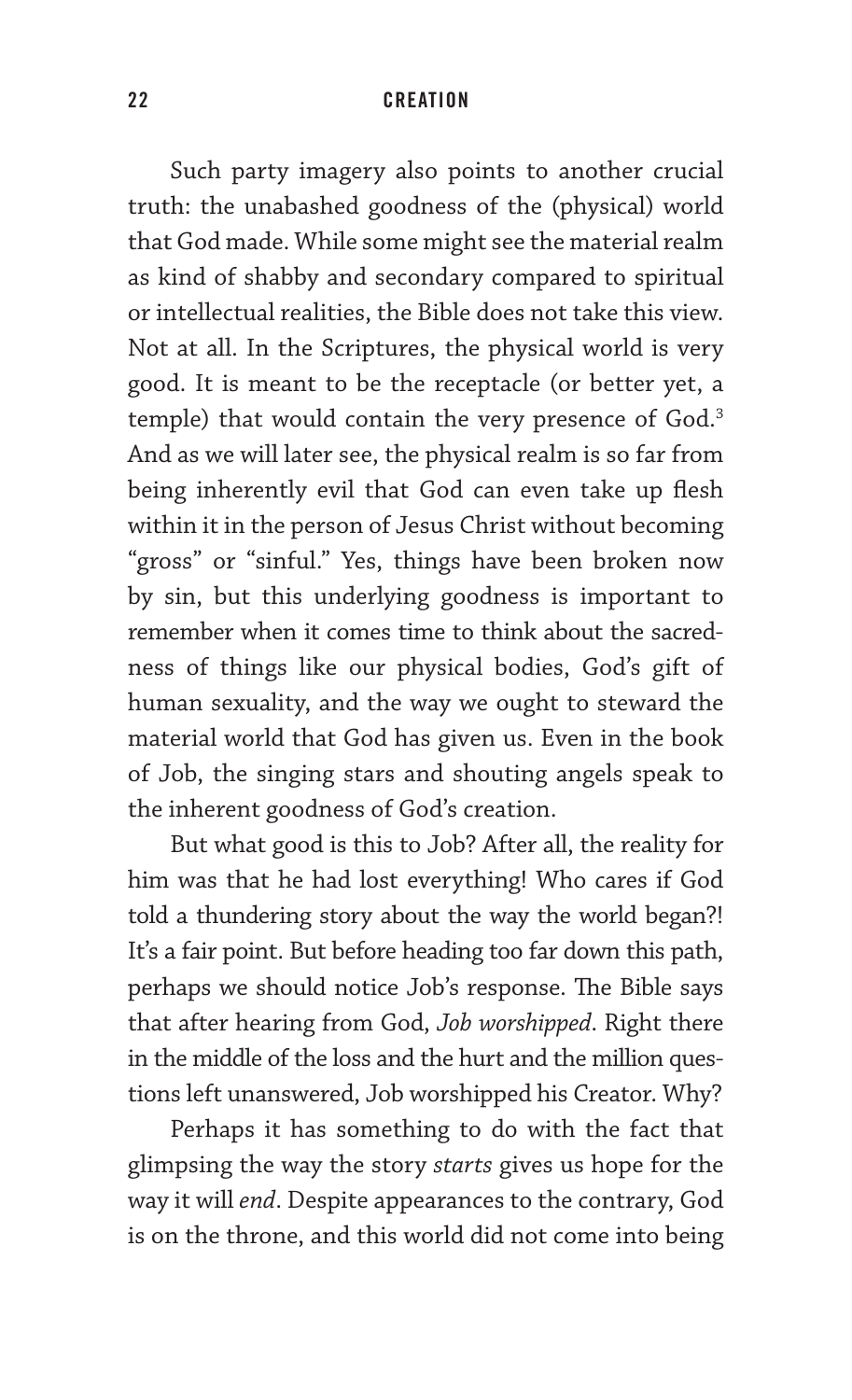Such party imagery also points to another crucial truth: the unabashed goodness of the (physical) world that God made. While some might see the material realm as kind of shabby and secondary compared to spiritual or intellectual realities, the Bible does not take this view. Not at all. In the Scriptures, the physical world is very good. It is meant to be the receptacle (or better yet, a temple) that would contain the very presence of God.<sup>3</sup> And as we will later see, the physical realm is so far from being inherently evil that God can even take up flesh within it in the person of Jesus Christ without becoming "gross" or "sinful." Yes, things have been broken now by sin, but this underlying goodness is important to remember when it comes time to think about the sacredness of things like our physical bodies, God's gift of human sexuality, and the way we ought to steward the material world that God has given us. Even in the book of Job, the singing stars and shouting angels speak to the inherent goodness of God's creation.

But what good is this to Job? After all, the reality for him was that he had lost everything! Who cares if God told a thundering story about the way the world began?! It's a fair point. But before heading too far down this path, perhaps we should notice Job's response. The Bible says that after hearing from God, *Job worshipped*. Right there in the middle of the loss and the hurt and the million questions left unanswered, Job worshipped his Creator. Why?

Perhaps it has something to do with the fact that glimpsing the way the story *starts* gives us hope for the way it will *end*. Despite appearances to the contrary, God is on the throne, and this world did not come into being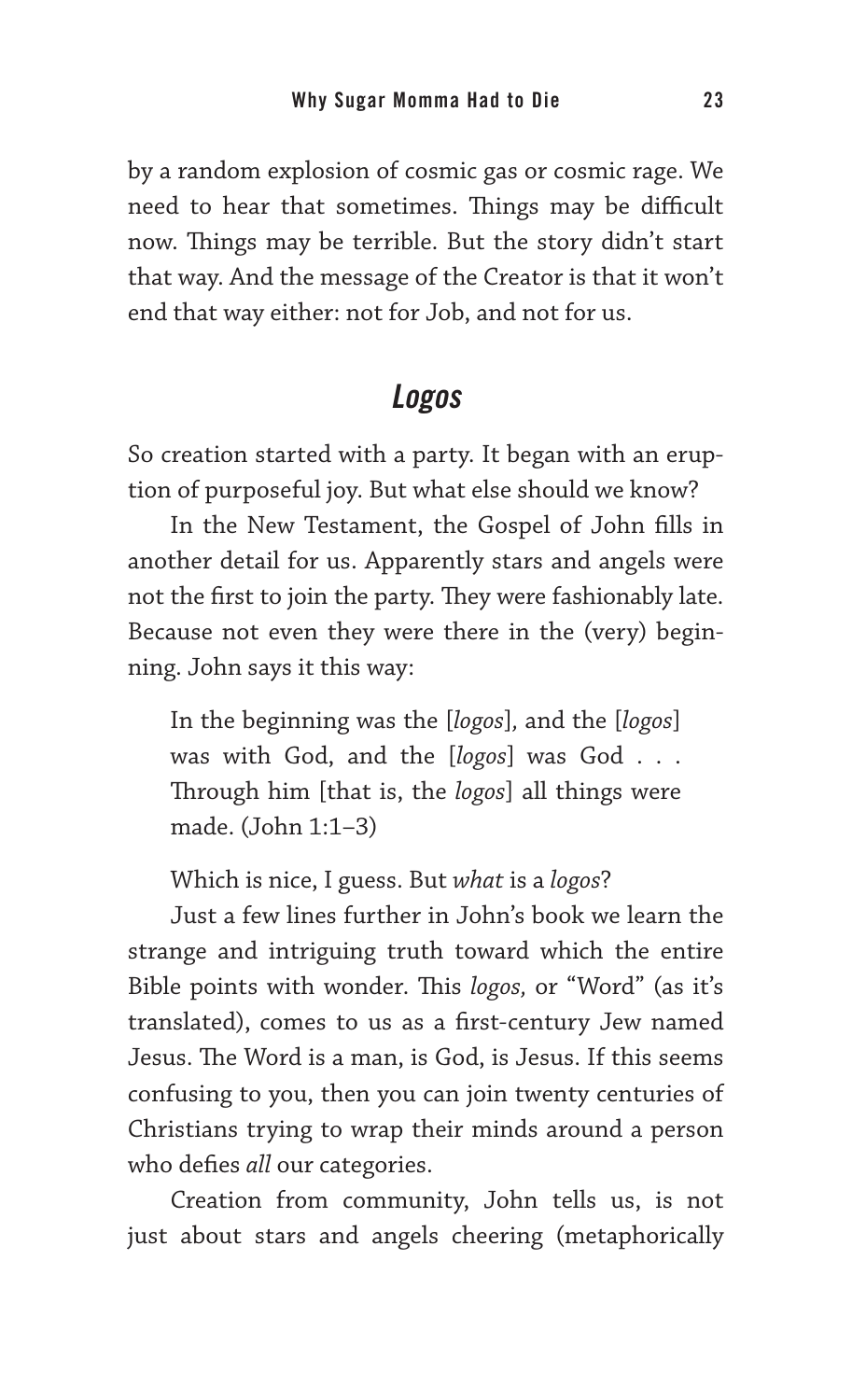by a random explosion of cosmic gas or cosmic rage. We need to hear that sometimes. Things may be difficult now. Things may be terrible. But the story didn't start that way. And the message of the Creator is that it won't end that way either: not for Job, and not for us.

### Logos

So creation started with a party. It began with an eruption of purposeful joy. But what else should we know?

In the New Testament, the Gospel of John flls in another detail for us. Apparently stars and angels were not the first to join the party. They were fashionably late. Because not even they were there in the (very) beginning. John says it this way:

In the beginning was the [*logos*]*,* and the [*logos*] was with God, and the [*logos*] was God . . . Through him [that is, the *logos*] all things were made. (John 1:1–3)

Which is nice, I guess. But *what* is a *logos*?

Just a few lines further in John's book we learn the strange and intriguing truth toward which the entire Bible points with wonder. This *logos*, or "Word" (as it's translated), comes to us as a frst-century Jew named Jesus. The Word is a man, is God, is Jesus. If this seems confusing to you, then you can join twenty centuries of Christians trying to wrap their minds around a person who defes *all* our categories.

Creation from community, John tells us, is not just about stars and angels cheering (metaphorically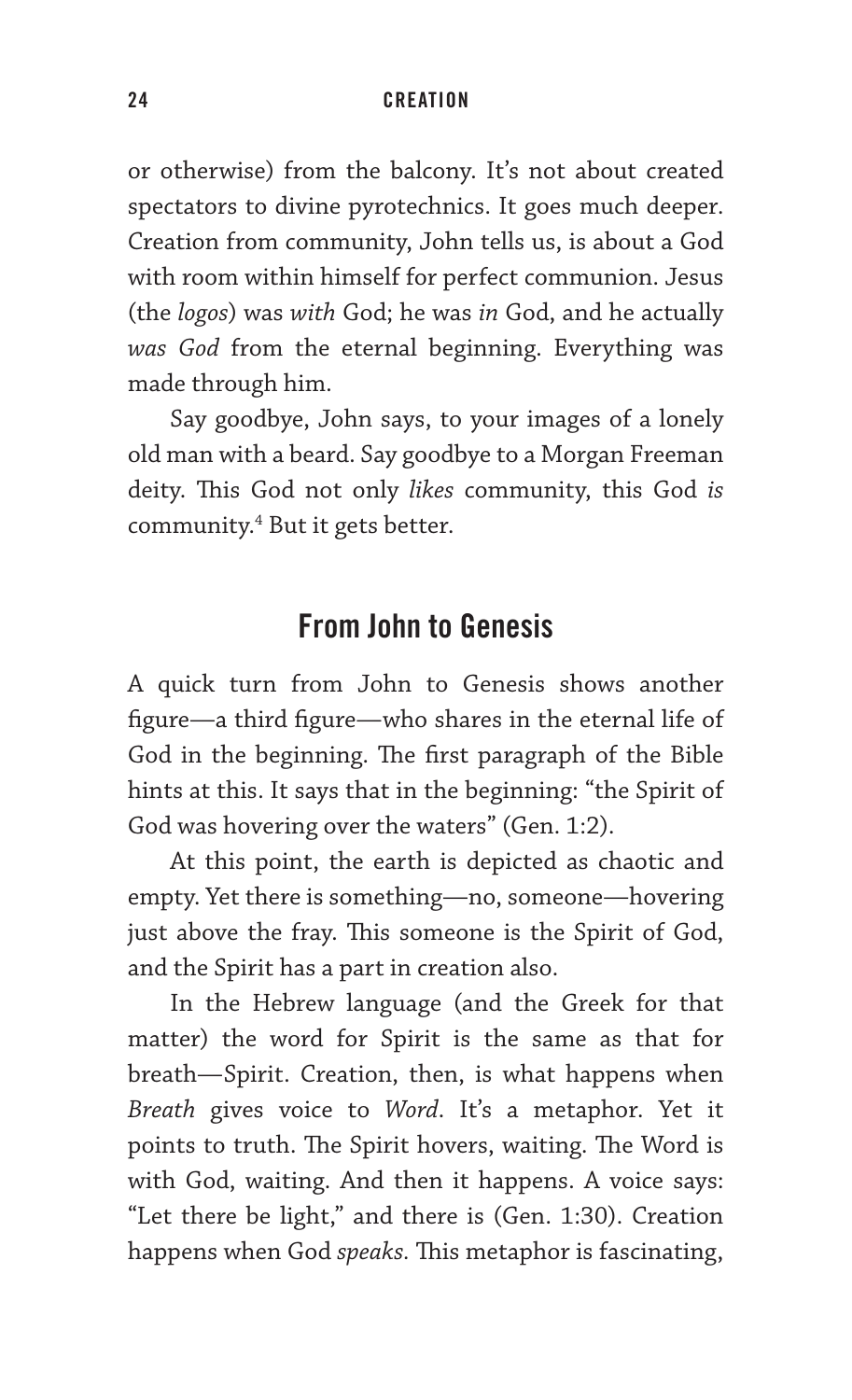or otherwise) from the balcony. It's not about created spectators to divine pyrotechnics. It goes much deeper. Creation from community, John tells us, is about a God with room within himself for perfect communion. Jesus (the *logos*) was *with* God; he was *in* God, and he actually *was God* from the eternal beginning. Everything was made through him.

Say goodbye, John says, to your images of a lonely old man with a beard. Say goodbye to a Morgan Freeman deity. This God not only *likes* community, this God *is* community.4 But it gets better.

#### From John to Genesis

A quick turn from John to Genesis shows another fgure—a third fgure—who shares in the eternal life of God in the beginning. The first paragraph of the Bible hints at this. It says that in the beginning: "the Spirit of God was hovering over the waters" (Gen. 1:2).

At this point, the earth is depicted as chaotic and empty. Yet there is something—no, someone—hovering just above the fray. This someone is the Spirit of God, and the Spirit has a part in creation also.

In the Hebrew language (and the Greek for that matter) the word for Spirit is the same as that for breath—Spirit. Creation, then, is what happens when *Breath* gives voice to *Word*. It's a metaphor. Yet it points to truth. The Spirit hovers, waiting. The Word is with God, waiting. And then it happens. A voice says: "Let there be light," and there is (Gen. 1:30). Creation happens when God *speaks*. This metaphor is fascinating,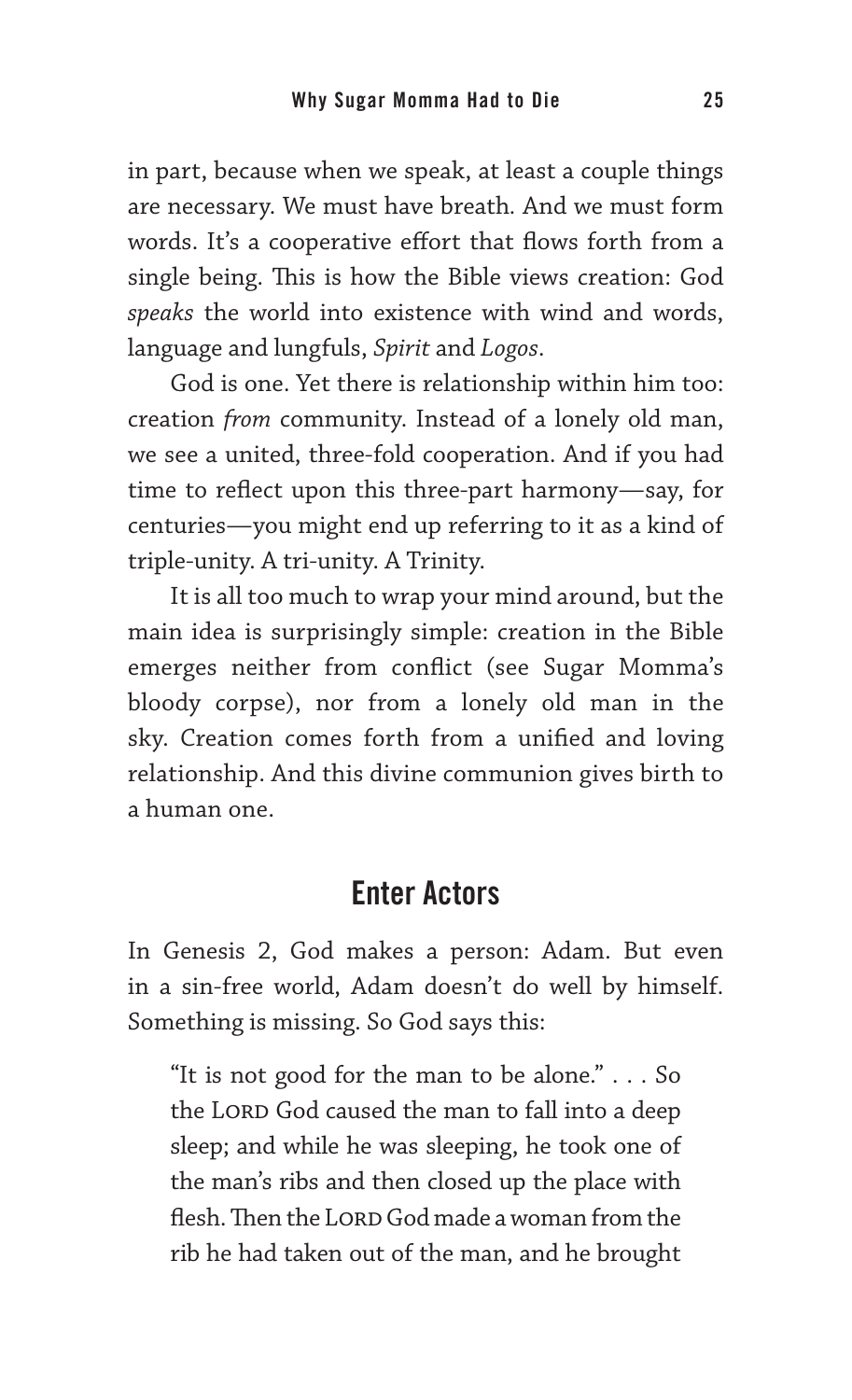in part, because when we speak, at least a couple things are necessary. We must have breath*.* And we must form words. It's a cooperative effort that flows forth from a single being. This is how the Bible views creation: God *speaks* the world into existence with wind and words, language and lungfuls, *Spirit* and *Logos*.

God is one. Yet there is relationship within him too: creation *from* community. Instead of a lonely old man, we see a united, three-fold cooperation. And if you had time to refect upon this three-part harmony—say, for centuries—you might end up referring to it as a kind of triple-unity. A tri-unity. A Trinity.

It is all too much to wrap your mind around, but the main idea is surprisingly simple: creation in the Bible emerges neither from confict (see Sugar Momma's bloody corpse), nor from a lonely old man in the sky. Creation comes forth from a unifed and loving relationship. And this divine communion gives birth to a human one.

#### Enter Actors

In Genesis 2, God makes a person: Adam. But even in a sin-free world, Adam doesn't do well by himself. Something is missing. So God says this:

"It is not good for the man to be alone." . . . So the LORD God caused the man to fall into a deep sleep; and while he was sleeping, he took one of the man's ribs and then closed up the place with flesh. Then the LORD God made a woman from the rib he had taken out of the man, and he brought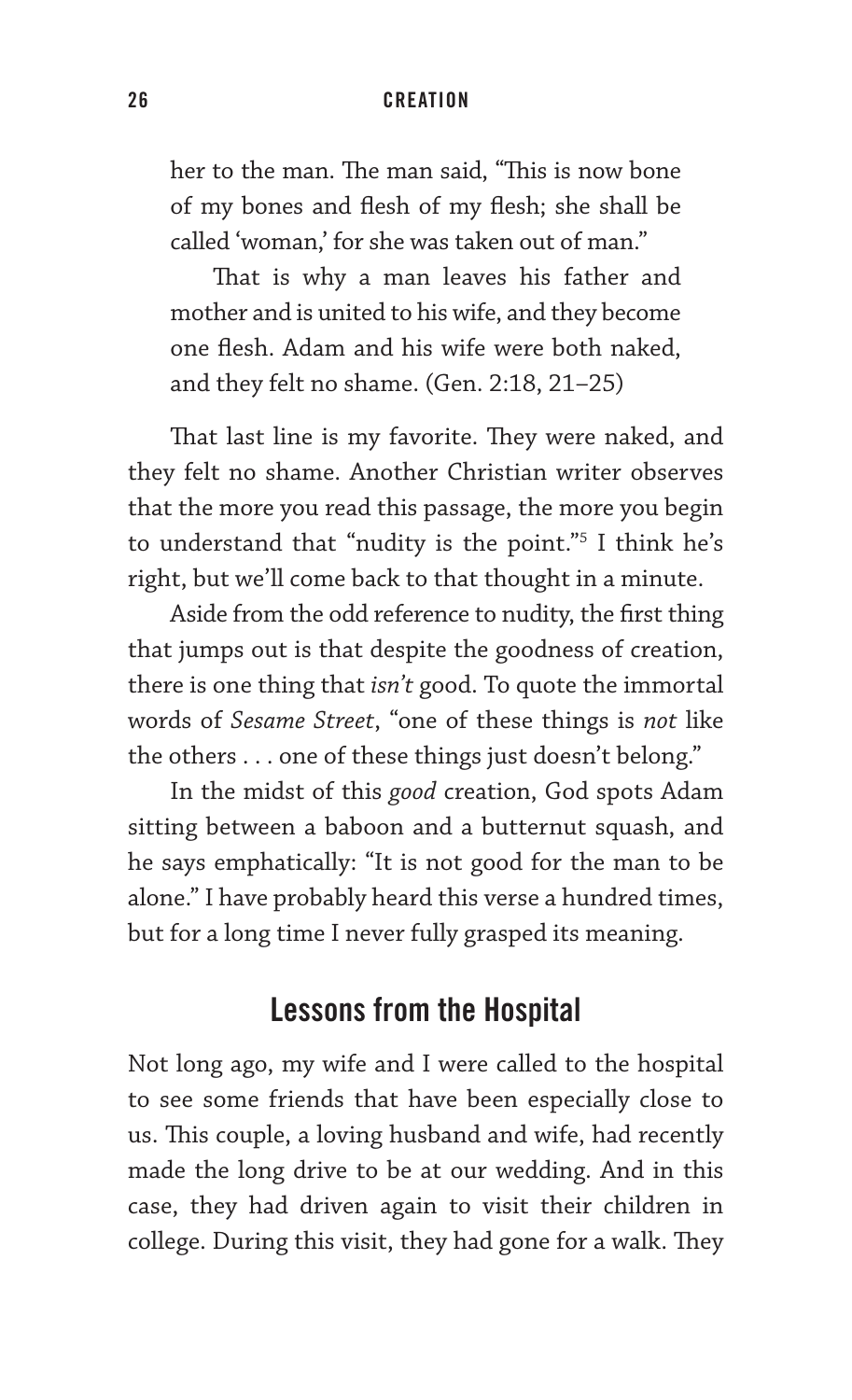her to the man. The man said, "This is now bone of my bones and fesh of my fesh; she shall be called 'woman,' for she was taken out of man."

That is why a man leaves his father and mother and is united to his wife, and they become one fesh. Adam and his wife were both naked, and they felt no shame. (Gen. 2:18, 21–25)

That last line is my favorite. They were naked, and they felt no shame. Another Christian writer observes that the more you read this passage, the more you begin to understand that "nudity is the point."5 I think he's right, but we'll come back to that thought in a minute.

Aside from the odd reference to nudity, the frst thing that jumps out is that despite the goodness of creation, there is one thing that *isn't* good. To quote the immortal words of *Sesame Street*, "one of these things is *not* like the others . . . one of these things just doesn't belong."

In the midst of this *good* creation, God spots Adam sitting between a baboon and a butternut squash, and he says emphatically: "It is not good for the man to be alone." I have probably heard this verse a hundred times, but for a long time I never fully grasped its meaning.

### Lessons from the Hospital

Not long ago, my wife and I were called to the hospital to see some friends that have been especially close to us. This couple, a loving husband and wife, had recently made the long drive to be at our wedding. And in this case, they had driven again to visit their children in college. During this visit, they had gone for a walk. They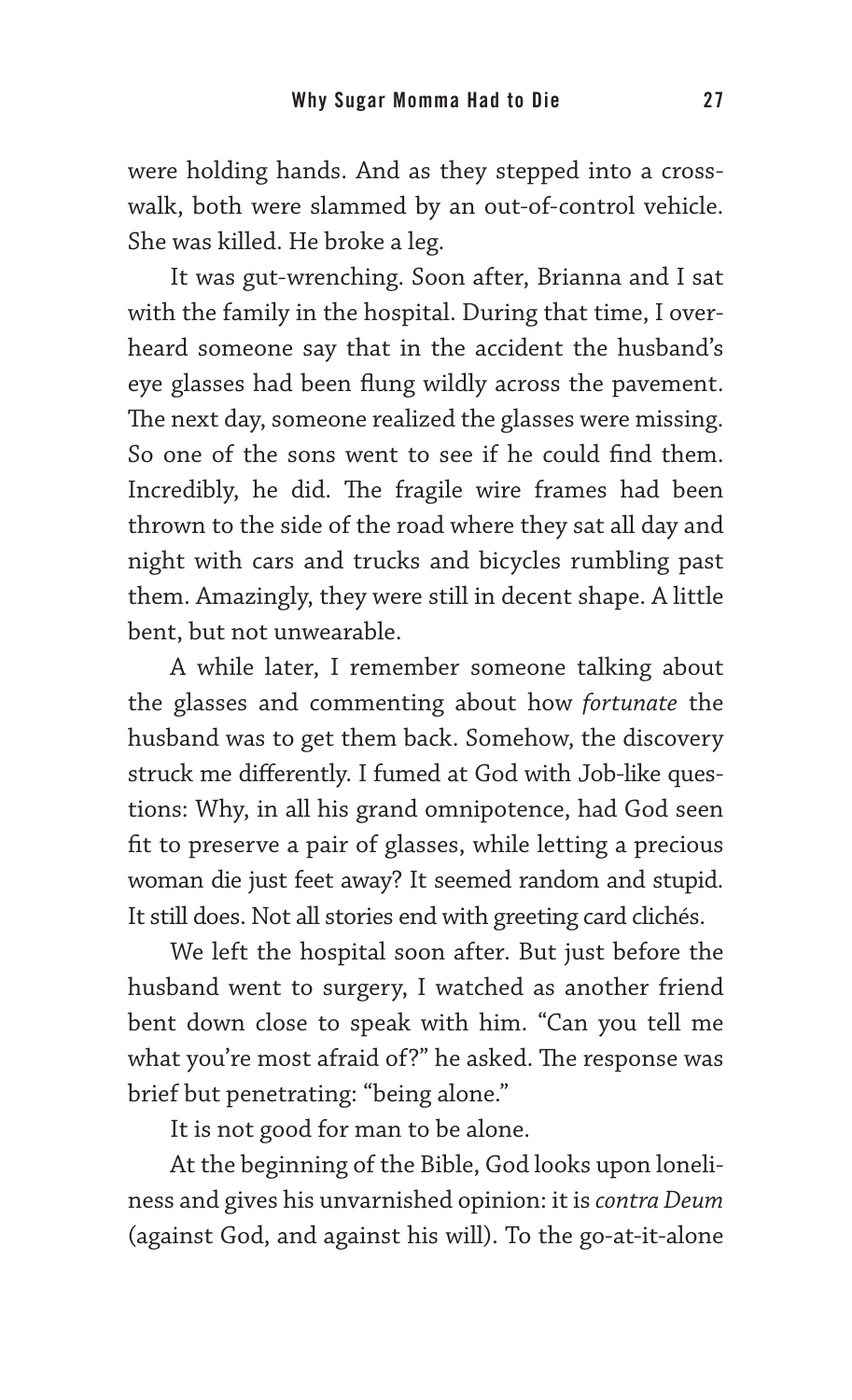were holding hands. And as they stepped into a crosswalk, both were slammed by an out-of-control vehicle. She was killed. He broke a leg.

It was gut-wrenching. Soon after, Brianna and I sat with the family in the hospital. During that time, I overheard someone say that in the accident the husband's eye glasses had been fung wildly across the pavement. The next day, someone realized the glasses were missing. So one of the sons went to see if he could fnd them. Incredibly, he did. The fragile wire frames had been thrown to the side of the road where they sat all day and night with cars and trucks and bicycles rumbling past them. Amazingly, they were still in decent shape. A little bent, but not unwearable.

A while later, I remember someone talking about the glasses and commenting about how *fortunate* the husband was to get them back. Somehow, the discovery struck me diferently. I fumed at God with Job-like questions: Why, in all his grand omnipotence, had God seen ft to preserve a pair of glasses, while letting a precious woman die just feet away? It seemed random and stupid. It still does. Not all stories end with greeting card clichés.

We left the hospital soon after. But just before the husband went to surgery, I watched as another friend bent down close to speak with him. "Can you tell me what you're most afraid of?" he asked. The response was brief but penetrating: "being alone."

It is not good for man to be alone.

At the beginning of the Bible, God looks upon loneliness and gives his unvarnished opinion: it is *contra Deum*  (against God, and against his will). To the go-at-it-alone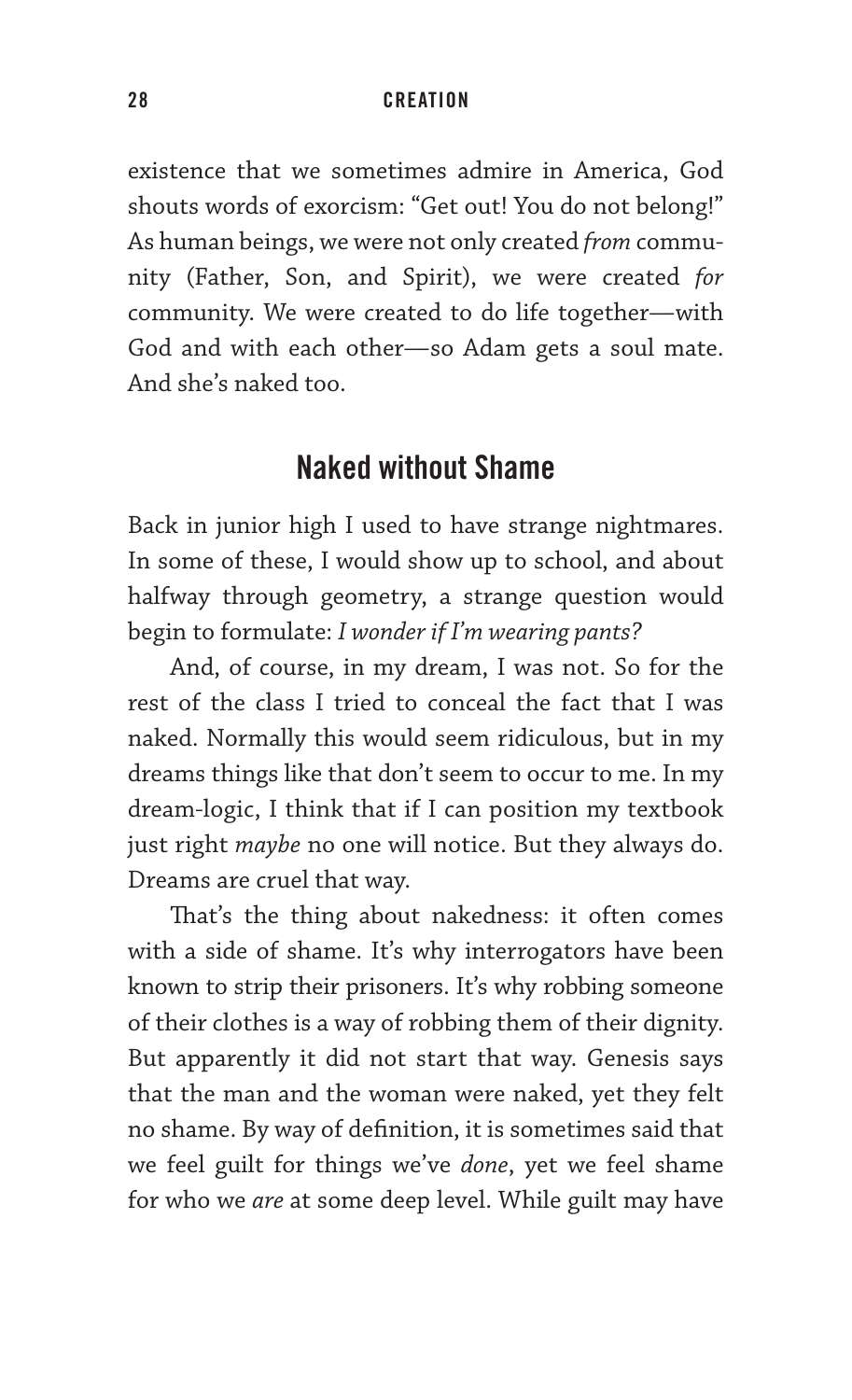existence that we sometimes admire in America, God shouts words of exorcism: "Get out! You do not belong!" As human beings, we were not only created *from* community (Father, Son, and Spirit), we were created *for*  community. We were created to do life together—with God and with each other—so Adam gets a soul mate. And she's naked too.

### Naked without Shame

Back in junior high I used to have strange nightmares. In some of these, I would show up to school, and about halfway through geometry, a strange question would begin to formulate: *I wonder if I'm wearing pants?*

And, of course, in my dream, I was not. So for the rest of the class I tried to conceal the fact that I was naked. Normally this would seem ridiculous, but in my dreams things like that don't seem to occur to me. In my dream-logic, I think that if I can position my textbook just right *maybe* no one will notice. But they always do. Dreams are cruel that way.

That's the thing about nakedness: it often comes with a side of shame. It's why interrogators have been known to strip their prisoners. It's why robbing someone of their clothes is a way of robbing them of their dignity. But apparently it did not start that way. Genesis says that the man and the woman were naked, yet they felt no shame. By way of defnition, it is sometimes said that we feel guilt for things we've *done*, yet we feel shame for who we *are* at some deep level. While guilt may have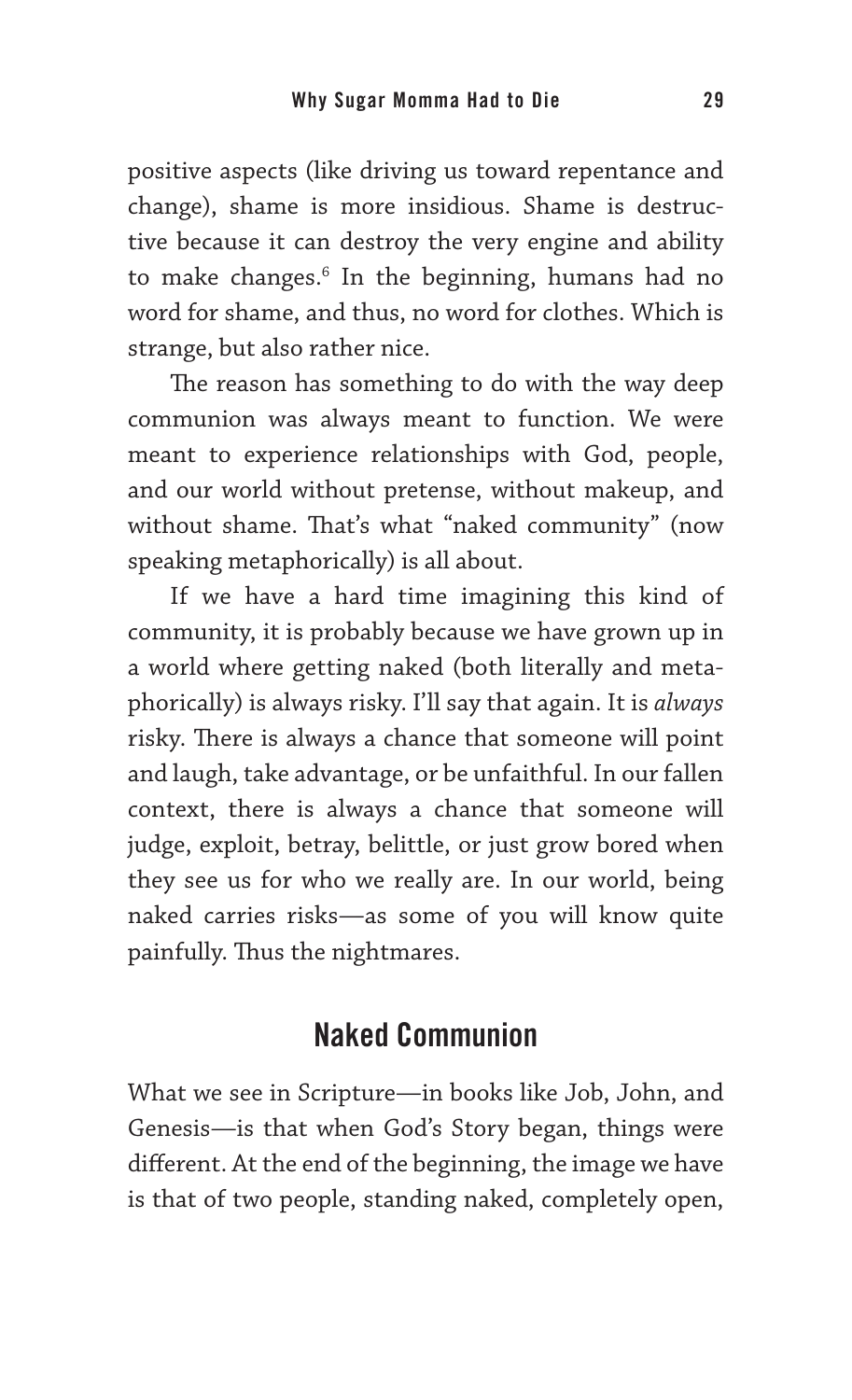positive aspects (like driving us toward repentance and change), shame is more insidious. Shame is destructive because it can destroy the very engine and ability to make changes.6 In the beginning, humans had no word for shame, and thus, no word for clothes. Which is strange, but also rather nice.

The reason has something to do with the way deep communion was always meant to function. We were meant to experience relationships with God, people, and our world without pretense, without makeup, and without shame. That's what "naked community" (now speaking metaphorically) is all about.

If we have a hard time imagining this kind of community, it is probably because we have grown up in a world where getting naked (both literally and metaphorically) is always risky. I'll say that again. It is *always* risky. There is always a chance that someone will point and laugh, take advantage, or be unfaithful. In our fallen context, there is always a chance that someone will judge, exploit, betray, belittle, or just grow bored when they see us for who we really are. In our world, being naked carries risks—as some of you will know quite painfully. Thus the nightmares.

#### Naked Communion

What we see in Scripture—in books like Job, John, and Genesis—is that when God's Story began, things were diferent. At the end of the beginning, the image we have is that of two people, standing naked, completely open,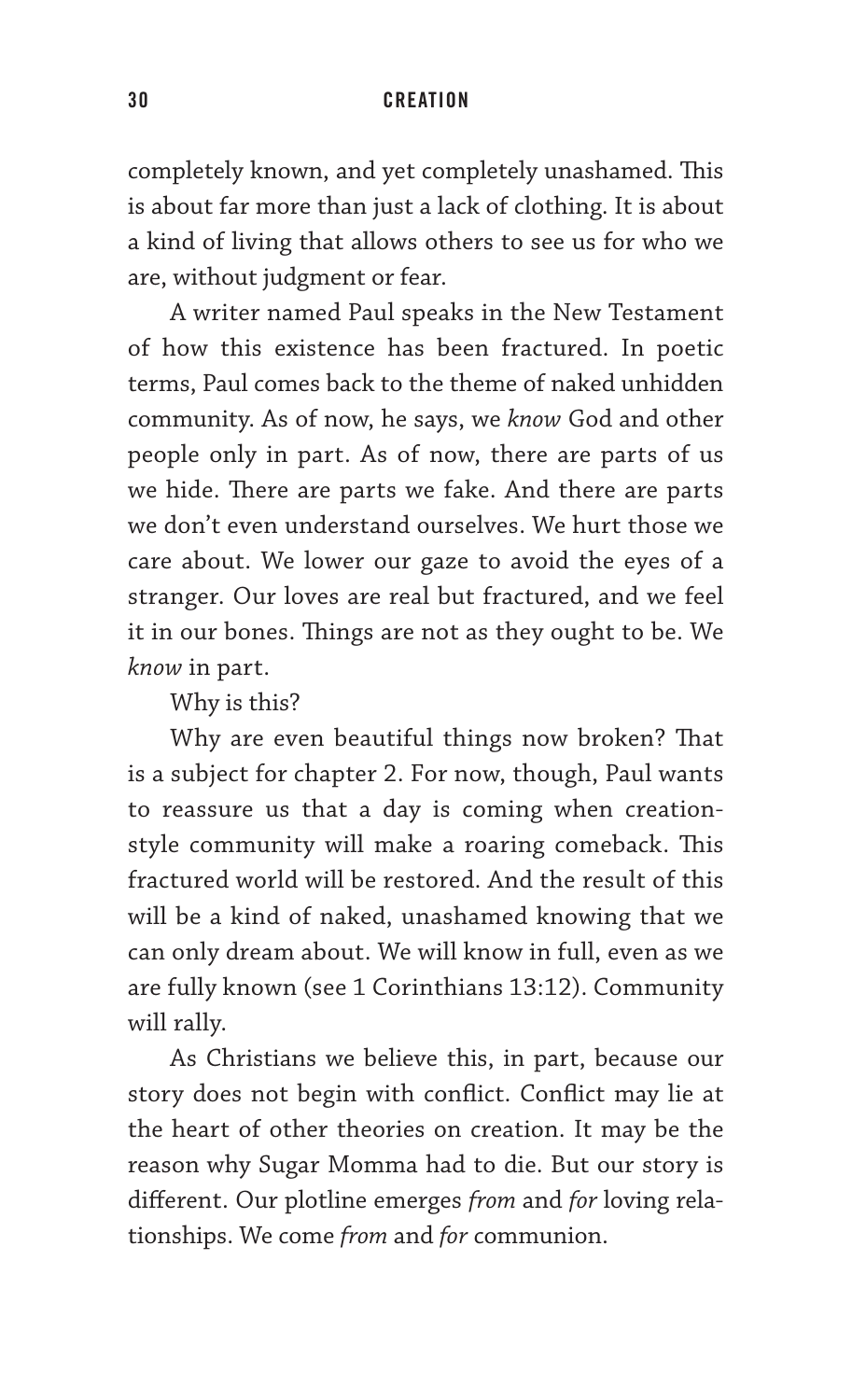completely known, and yet completely unashamed. This is about far more than just a lack of clothing. It is about a kind of living that allows others to see us for who we are, without judgment or fear.

A writer named Paul speaks in the New Testament of how this existence has been fractured. In poetic terms, Paul comes back to the theme of naked unhidden community. As of now, he says, we *know* God and other people only in part. As of now, there are parts of us we hide. There are parts we fake. And there are parts we don't even understand ourselves. We hurt those we care about. We lower our gaze to avoid the eyes of a stranger. Our loves are real but fractured, and we feel it in our bones. Things are not as they ought to be. We *know* in part.

Why is this?

Why are even beautiful things now broken? That is a subject for chapter 2. For now, though, Paul wants to reassure us that a day is coming when creationstyle community will make a roaring comeback. This fractured world will be restored. And the result of this will be a kind of naked, unashamed knowing that we can only dream about. We will know in full, even as we are fully known (see 1 Corinthians 13:12). Community will rally.

As Christians we believe this, in part, because our story does not begin with confict. Confict may lie at the heart of other theories on creation. It may be the reason why Sugar Momma had to die. But our story is diferent. Our plotline emerges *from* and *for* loving relationships. We come *from* and *for* communion.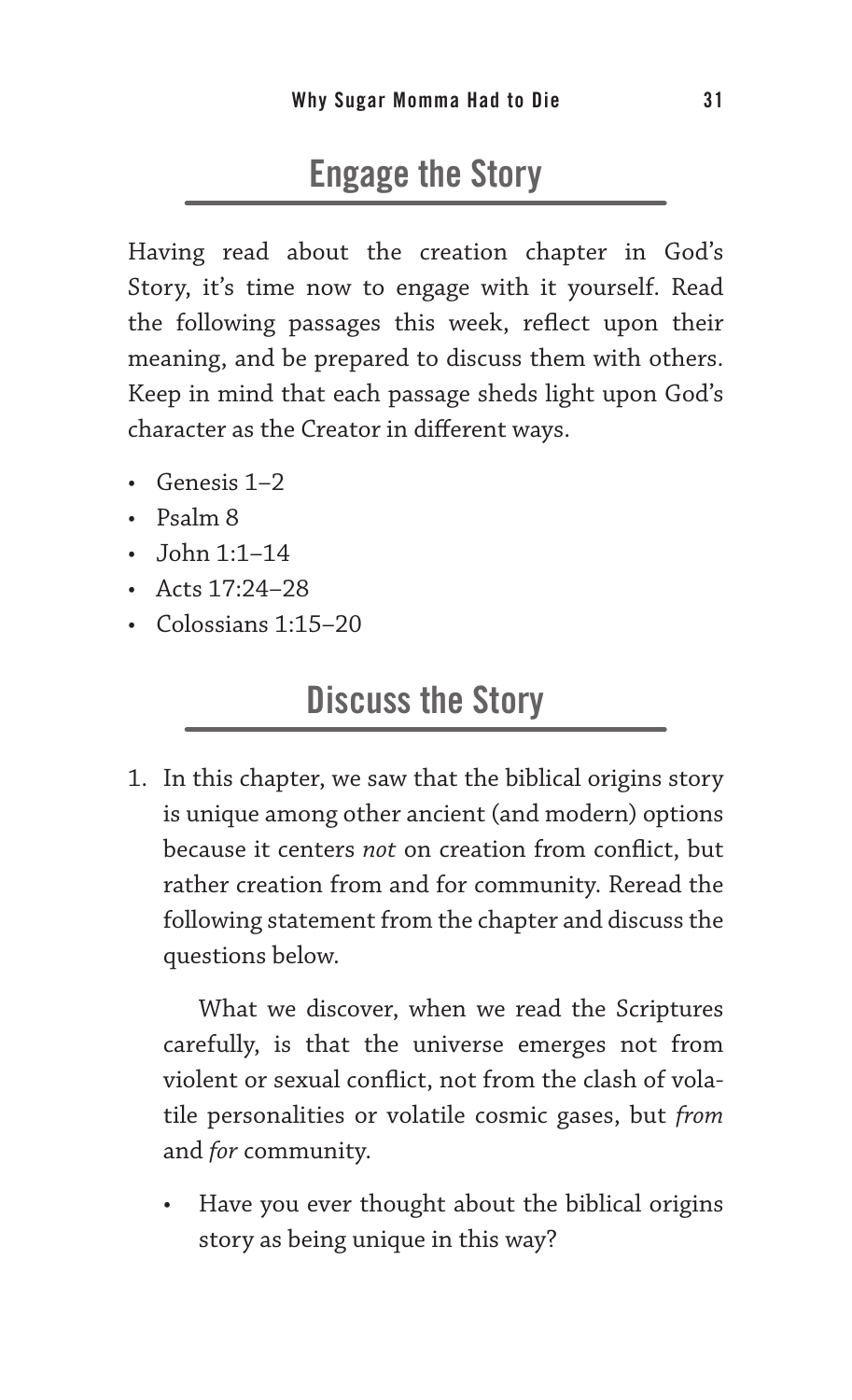# Engage the Story

Having read about the creation chapter in God's Story, it's time now to engage with it yourself. Read the following passages this week, refect upon their meaning, and be prepared to discuss them with others. Keep in mind that each passage sheds light upon God's character as the Creator in diferent ways.

- Genesis 1–2
- Psalm 8
- John 1:1–14
- Acts 17:24–28
- Colossians 1:15–20

# Discuss the Story

1. In this chapter, we saw that the biblical origins story is unique among other ancient (and modern) options because it centers *not* on creation from confict, but rather creation from and for community. Reread the following statement from the chapter and discuss the questions below.

What we discover, when we read the Scriptures carefully, is that the universe emerges not from violent or sexual confict, not from the clash of volatile personalities or volatile cosmic gases, but *from* and *for* community.

Have you ever thought about the biblical origins story as being unique in this way?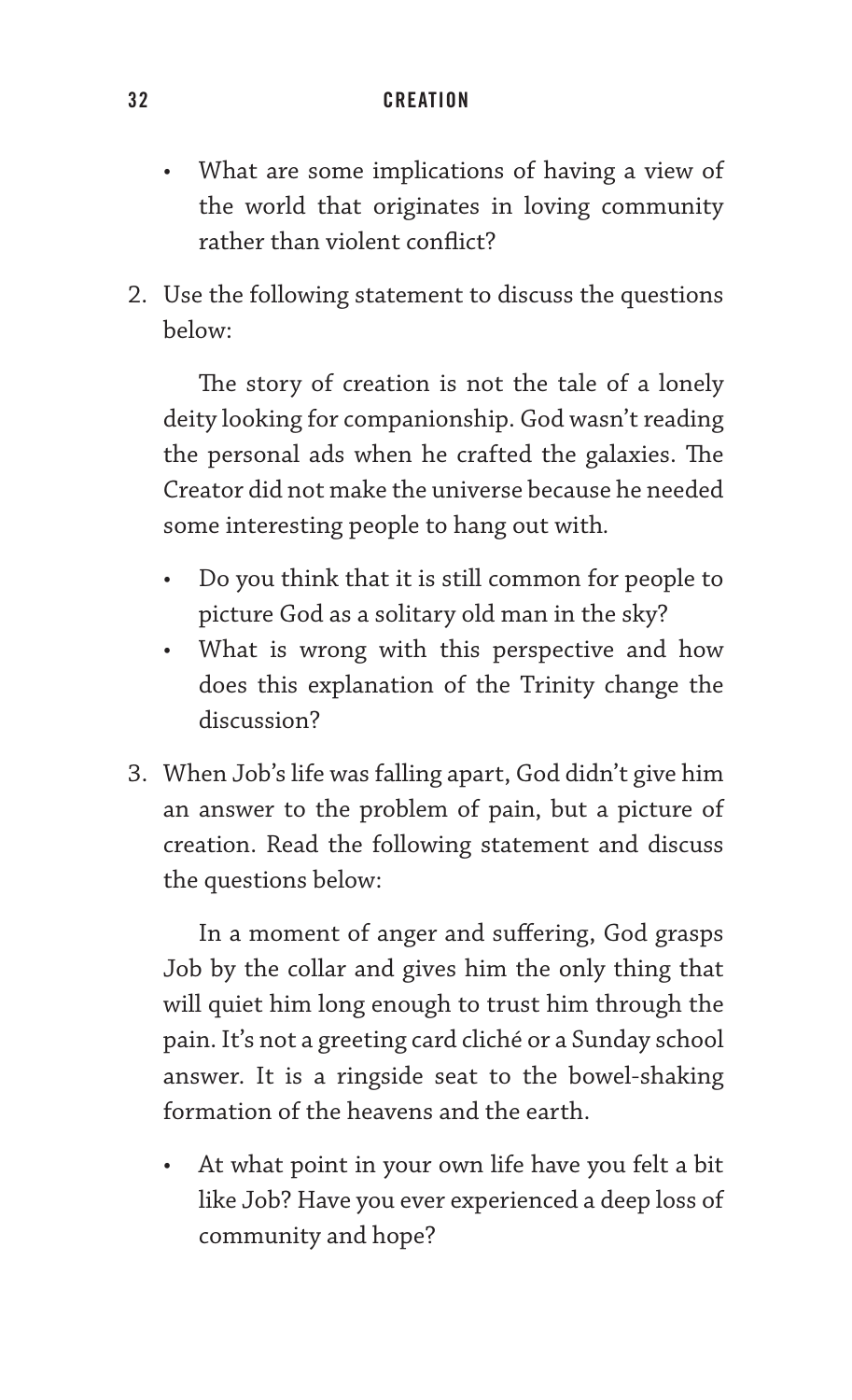- What are some implications of having a view of the world that originates in loving community rather than violent confict?
- 2. Use the following statement to discuss the questions below:

The story of creation is not the tale of a lonely deity looking for companionship. God wasn't reading the personal ads when he crafted the galaxies. The Creator did not make the universe because he needed some interesting people to hang out with*.* 

- Do you think that it is still common for people to picture God as a solitary old man in the sky?
- What is wrong with this perspective and how does this explanation of the Trinity change the discussion?
- 3. When Job's life was falling apart, God didn't give him an answer to the problem of pain, but a picture of creation. Read the following statement and discuss the questions below:

In a moment of anger and sufering, God grasps Job by the collar and gives him the only thing that will quiet him long enough to trust him through the pain. It's not a greeting card cliché or a Sunday school answer. It is a ringside seat to the bowel-shaking formation of the heavens and the earth.

• At what point in your own life have you felt a bit like Job? Have you ever experienced a deep loss of community and hope?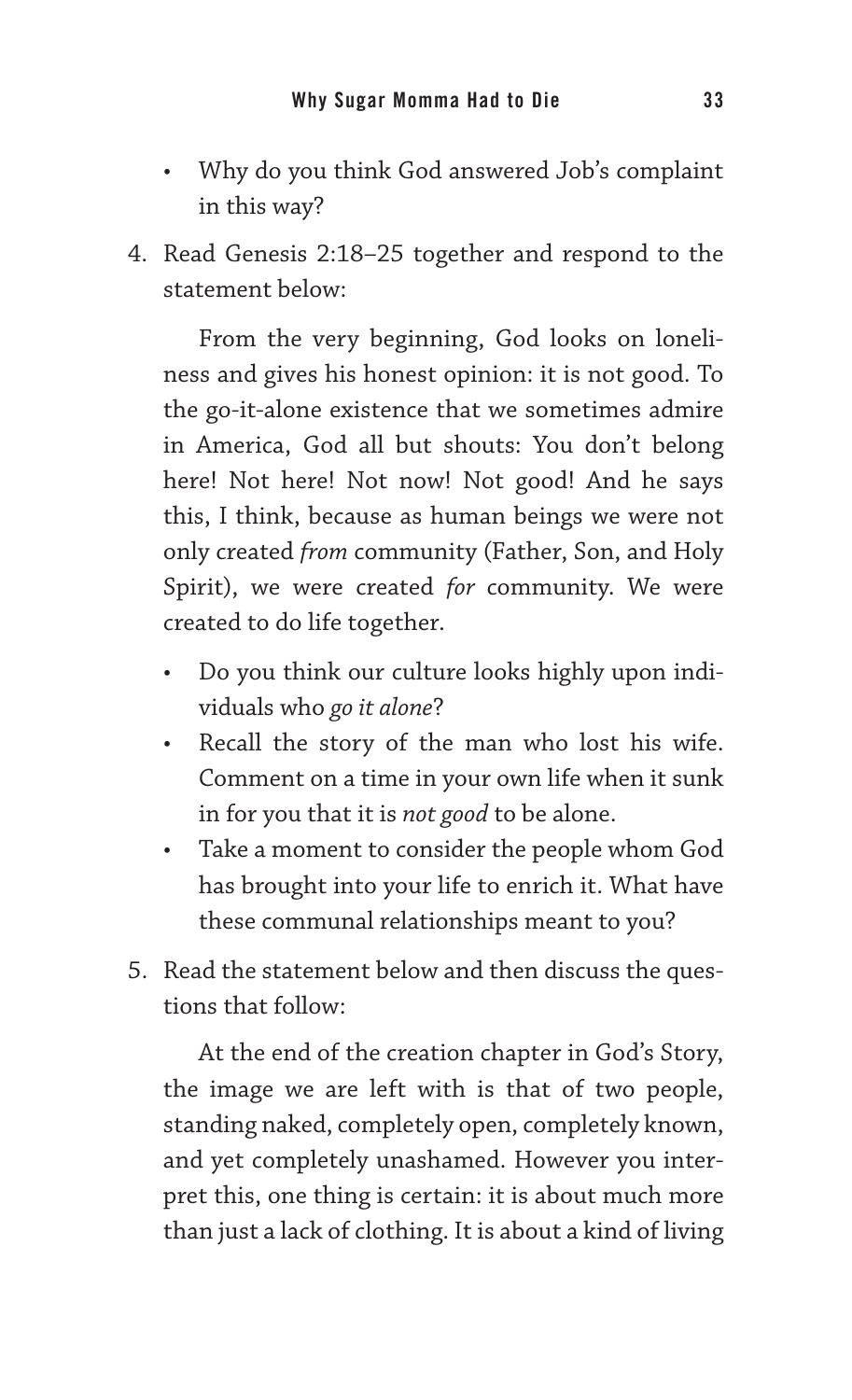- Why do you think God answered Job's complaint in this way?
- 4. Read Genesis 2:18–25 together and respond to the statement below:

From the very beginning, God looks on loneliness and gives his honest opinion: it is not good. To the go-it-alone existence that we sometimes admire in America, God all but shouts: You don't belong here! Not here! Not now! Not good! And he says this, I think, because as human beings we were not only created *from* community (Father, Son, and Holy Spirit), we were created *for* community. We were created to do life together.

- Do you think our culture looks highly upon individuals who *go it alone*?
- Recall the story of the man who lost his wife. Comment on a time in your own life when it sunk in for you that it is *not good* to be alone.
- Take a moment to consider the people whom God has brought into your life to enrich it. What have these communal relationships meant to you?
- 5. Read the statement below and then discuss the questions that follow:

At the end of the creation chapter in God's Story, the image we are left with is that of two people, standing naked, completely open, completely known, and yet completely unashamed. However you interpret this, one thing is certain: it is about much more than just a lack of clothing. It is about a kind of living